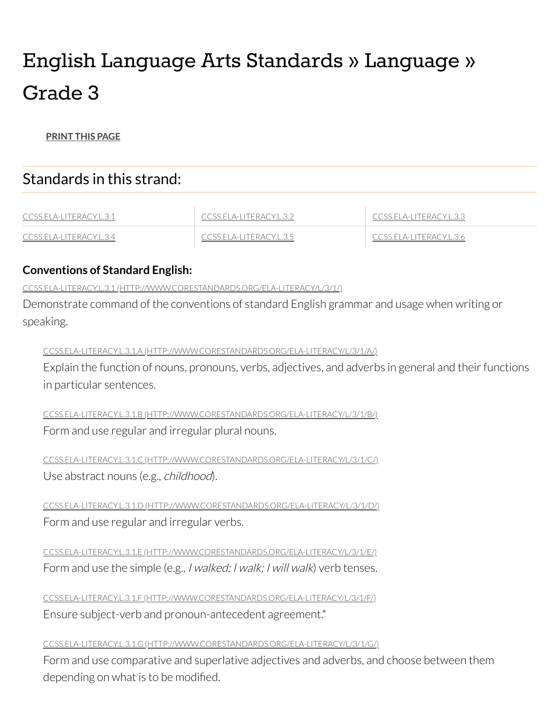# English Language Arts Standards » Language » Grade 3

#### **[PRINT](javascript: window.print();) THIS PAGE**

# Standards in this strand:

| CCSS.ELA<br>'ILERACYE31<br>$A-I$    | LIFRACYL 32<br>$\Delta - I$  | LA-LITERACYL 3.3 |
|-------------------------------------|------------------------------|------------------|
| IIFRA(YI<br>-CCSS.EL<br>$\Delta$ -l | - ITERA(YI 35<br>$\Delta$ -l | IA-IIIFRAI YI    |

# **Conventions of Standard English:**

<span id="page-0-0"></span>CCSS.ELA-LITERACY.L.3.1 [\(HTTP://WWW.CORESTANDARDS.ORG/ELA-LITERACY/L/3/1/\)](http://www.corestandards.org/ELA-Literacy/L/3/1/)

Demonstrate command of the conventions of standard English grammar and usage when writing or speaking.

#### CCSS.ELA-LITERACY.L.3.1.A [\(HTTP://WWW.CORESTANDARDS.ORG/ELA-LITERACY/L/3/1/A/\)](http://www.corestandards.org/ELA-Literacy/L/3/1/a/)

Explain the function of nouns, pronouns, verbs, adjectives, and adverbs in general and their functions in particular sentences.

CCSS.ELA-LITERACY.L.3.1.B [\(HTTP://WWW.CORESTANDARDS.ORG/ELA-LITERACY/L/3/1/B/\)](http://www.corestandards.org/ELA-Literacy/L/3/1/b/) Form and use regular and irregular plural nouns.

CCSS.ELA-LITERACY.L.3.1.C [\(HTTP://WWW.CORESTANDARDS.ORG/ELA-LITERACY/L/3/1/C/\)](http://www.corestandards.org/ELA-Literacy/L/3/1/c/) Use abstract nouns (e.g., *childhood*).

CCSS.ELA-LITERACY.L.3.1.D [\(HTTP://WWW.CORESTANDARDS.ORG/ELA-LITERACY/L/3/1/D/\)](http://www.corestandards.org/ELA-Literacy/L/3/1/d/) Form and use regular and irregular verbs.

CCSS.ELA-LITERACY.L.3.1.E [\(HTTP://WWW.CORESTANDARDS.ORG/ELA-LITERACY/L/3/1/E/\)](http://www.corestandards.org/ELA-Literacy/L/3/1/e/) Form and use the simple (e.g., *I walked; I walk; I will walk*) verb tenses.

CCSS.ELA-LITERACY.L.3.1.F [\(HTTP://WWW.CORESTANDARDS.ORG/ELA-LITERACY/L/3/1/F/\)](http://www.corestandards.org/ELA-Literacy/L/3/1/f/) Ensure subject-verb and pronoun-antecedent agreement.\*

#### CCSS.ELA-LITERACY.L.3.1.G [\(HTTP://WWW.CORESTANDARDS.ORG/ELA-LITERACY/L/3/1/G/\)](http://www.corestandards.org/ELA-Literacy/L/3/1/g/)

Form and use comparative and superlative adjectives and adverbs, and choose between them depending on what is to be modified.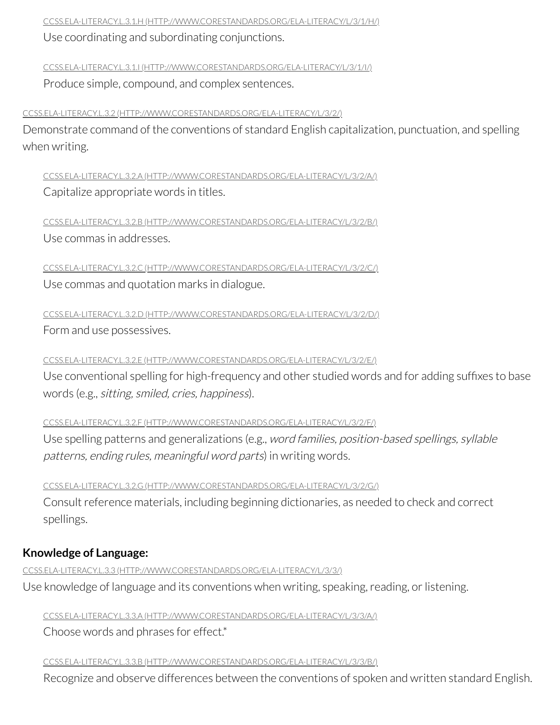CCSS.ELA-LITERACY.L.3.1.H [\(HTTP://WWW.CORESTANDARDS.ORG/ELA-LITERACY/L/3/1/H/\)](http://www.corestandards.org/ELA-Literacy/L/3/1/h/)

Use coordinating and subordinating conjunctions.

CCSS.ELA-LITERACY.L.3.1.I [\(HTTP://WWW.CORESTANDARDS.ORG/ELA-LITERACY/L/3/1/I/\)](http://www.corestandards.org/ELA-Literacy/L/3/1/i/)

Produce simple, compound, and complex sentences.

<span id="page-1-0"></span>CCSS.ELA-LITERACY.L.3.2 [\(HTTP://WWW.CORESTANDARDS.ORG/ELA-LITERACY/L/3/2/\)](http://www.corestandards.org/ELA-Literacy/L/3/2/)

Demonstrate command of the conventions of standard English capitalization, punctuation, and spelling when writing.

CCSS.ELA-LITERACY.L.3.2.A [\(HTTP://WWW.CORESTANDARDS.ORG/ELA-LITERACY/L/3/2/A/\)](http://www.corestandards.org/ELA-Literacy/L/3/2/a/) Capitalize appropriate words in titles.

CCSS.ELA-LITERACY.L.3.2.B [\(HTTP://WWW.CORESTANDARDS.ORG/ELA-LITERACY/L/3/2/B/\)](http://www.corestandards.org/ELA-Literacy/L/3/2/b/) Use commas in addresses.

CCSS.ELA-LITERACY.L.3.2.C [\(HTTP://WWW.CORESTANDARDS.ORG/ELA-LITERACY/L/3/2/C/\)](http://www.corestandards.org/ELA-Literacy/L/3/2/c/) Use commas and quotation marks in dialogue.

CCSS.ELA-LITERACY.L.3.2.D [\(HTTP://WWW.CORESTANDARDS.ORG/ELA-LITERACY/L/3/2/D/\)](http://www.corestandards.org/ELA-Literacy/L/3/2/d/) Form and use possessives.

CCSS.ELA-LITERACY.L.3.2.E [\(HTTP://WWW.CORESTANDARDS.ORG/ELA-LITERACY/L/3/2/E/\)](http://www.corestandards.org/ELA-Literacy/L/3/2/e/)

Use conventional spelling for high-frequency and other studied words and for adding suffixes to base words (e.g., sitting, smiled, cries, happiness).

CCSS.ELA-LITERACY.L.3.2.F [\(HTTP://WWW.CORESTANDARDS.ORG/ELA-LITERACY/L/3/2/F/\)](http://www.corestandards.org/ELA-Literacy/L/3/2/f/)

Use spelling patterns and generalizations (e.g., word families, position-based spellings, syllable patterns, ending rules, meaningful word parts) in writing words.

CCSS.ELA-LITERACY.L.3.2.G [\(HTTP://WWW.CORESTANDARDS.ORG/ELA-LITERACY/L/3/2/G/\)](http://www.corestandards.org/ELA-Literacy/L/3/2/g/) Consult reference materials, including beginning dictionaries, as needed to check and correct spellings.

# **Knowledge of Language:**

<span id="page-1-1"></span>CCSS.ELA-LITERACY.L.3.3 [\(HTTP://WWW.CORESTANDARDS.ORG/ELA-LITERACY/L/3/3/\)](http://www.corestandards.org/ELA-Literacy/L/3/3/) Use knowledge of language and its conventions when writing, speaking, reading, or listening.

CCSS.ELA-LITERACY.L.3.3.A [\(HTTP://WWW.CORESTANDARDS.ORG/ELA-LITERACY/L/3/3/A/\)](http://www.corestandards.org/ELA-Literacy/L/3/3/a/)

Choose words and phrases for effect.\*

CCSS.ELA-LITERACY.L.3.3.B [\(HTTP://WWW.CORESTANDARDS.ORG/ELA-LITERACY/L/3/3/B/\)](http://www.corestandards.org/ELA-Literacy/L/3/3/b/)

Recognize and observe differences between the conventions of spoken and written standard English.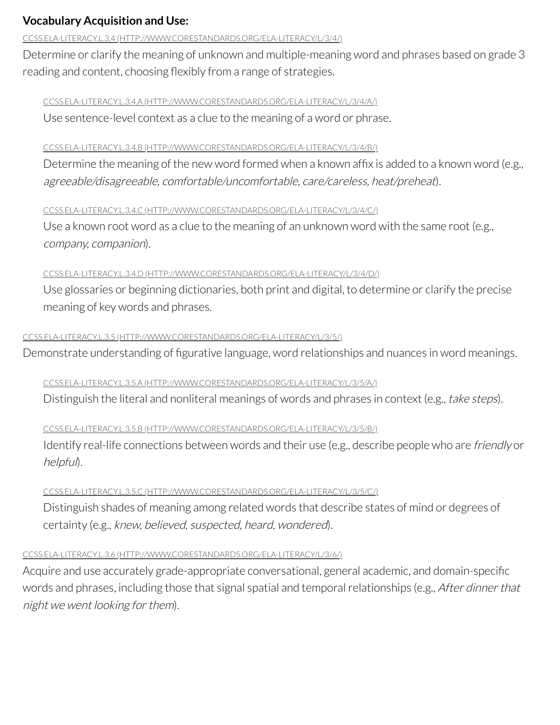# **Vocabulary Acquisition and Use:**

#### <span id="page-2-0"></span>CCSS.ELA-LITERACY.L.3.4 [\(HTTP://WWW.CORESTANDARDS.ORG/ELA-LITERACY/L/3/4/\)](http://www.corestandards.org/ELA-Literacy/L/3/4/)

Determine or clarify the meaning of unknown and multiple-meaning word and phrases based on grade 3 reading and content, choosing flexibly from a range of strategies.

#### CCSS.ELA-LITERACY.L.3.4.A [\(HTTP://WWW.CORESTANDARDS.ORG/ELA-LITERACY/L/3/4/A/\)](http://www.corestandards.org/ELA-Literacy/L/3/4/a/)

Use sentence-level context as a clue to the meaning of a word or phrase.

## CCSS.ELA-LITERACY.L.3.4.B [\(HTTP://WWW.CORESTANDARDS.ORG/ELA-LITERACY/L/3/4/B/\)](http://www.corestandards.org/ELA-Literacy/L/3/4/b/)

Determine the meaning of the new word formed when a known affix is added to a known word (e.g., agreeable/disagreeable, comfortable/uncomfortable, care/careless, heat/preheat).

## CCSS.ELA-LITERACY.L.3.4.C [\(HTTP://WWW.CORESTANDARDS.ORG/ELA-LITERACY/L/3/4/C/\)](http://www.corestandards.org/ELA-Literacy/L/3/4/c/)

Use a known root word as a clue to the meaning of an unknown word with the same root (e.g., company, companion).

# CCSS.ELA-LITERACY.L.3.4.D [\(HTTP://WWW.CORESTANDARDS.ORG/ELA-LITERACY/L/3/4/D/\)](http://www.corestandards.org/ELA-Literacy/L/3/4/d/)

Use glossaries or beginning dictionaries, both print and digital, to determine or clarify the precise meaning of key words and phrases.

## <span id="page-2-1"></span>CCSS.ELA-LITERACY.L.3.5 [\(HTTP://WWW.CORESTANDARDS.ORG/ELA-LITERACY/L/3/5/\)](http://www.corestandards.org/ELA-Literacy/L/3/5/)

Demonstrate understanding of figurative language, word relationships and nuances in word meanings.

# CCSS.ELA-LITERACY.L.3.5.A [\(HTTP://WWW.CORESTANDARDS.ORG/ELA-LITERACY/L/3/5/A/\)](http://www.corestandards.org/ELA-Literacy/L/3/5/a/)

Distinguish the literal and nonliteral meanings of words and phrases in context (e.g., take steps).

# CCSS.ELA-LITERACY.L.3.5.B [\(HTTP://WWW.CORESTANDARDS.ORG/ELA-LITERACY/L/3/5/B/\)](http://www.corestandards.org/ELA-Literacy/L/3/5/b/)

Identify real-life connections between words and their use (e.g., describe people who are *friendly* or helpful).

# CCSS.ELA-LITERACY.L.3.5.C [\(HTTP://WWW.CORESTANDARDS.ORG/ELA-LITERACY/L/3/5/C/\)](http://www.corestandards.org/ELA-Literacy/L/3/5/c/)

Distinguish shades of meaning among related words that describe states of mind or degrees of certainty (e.g., knew, believed, suspected, heard, wondered).

## <span id="page-2-2"></span>CCSS.ELA-LITERACY.L.3.6 [\(HTTP://WWW.CORESTANDARDS.ORG/ELA-LITERACY/L/3/6/\)](http://www.corestandards.org/ELA-Literacy/L/3/6/)

Acquire and use accurately grade-appropriate conversational, general academic, and domain-specific words and phrases, including those that signal spatial and temporal relationships (e.g., After dinner that night we went looking for them).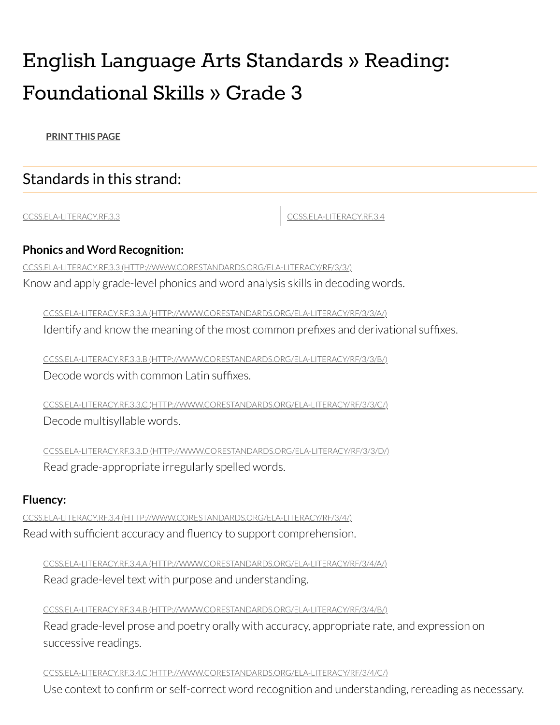# English Language Arts Standards » Reading: Foundational Skills » Grade 3

**[PRINT](javascript: window.print();) THIS PAGE**

# Standards in this strand:

[CCSS.ELA-LITERACY.RF.3.3](#page-3-0) [CCSS.ELA-LITERACY.RF.3.4](#page-3-1)

# **Phonics and Word Recognition:**

<span id="page-3-0"></span>CCSS.ELA-LITERACY.RF.3.3 [\(HTTP://WWW.CORESTANDARDS.ORG/ELA-LITERACY/RF/3/3/\)](http://www.corestandards.org/ELA-Literacy/RF/3/3/)

Know and apply grade-level phonics and word analysis skills in decoding words.

CCSS.ELA-LITERACY.RF.3.3.A [\(HTTP://WWW.CORESTANDARDS.ORG/ELA-LITERACY/RF/3/3/A/\)](http://www.corestandards.org/ELA-Literacy/RF/3/3/a/) Identify and know the meaning of the most common prefixes and derivational suffixes.

CCSS.ELA-LITERACY.RF.3.3.B [\(HTTP://WWW.CORESTANDARDS.ORG/ELA-LITERACY/RF/3/3/B/\)](http://www.corestandards.org/ELA-Literacy/RF/3/3/b/) Decode words with common Latin suffixes.

CCSS.ELA-LITERACY.RF.3.3.C [\(HTTP://WWW.CORESTANDARDS.ORG/ELA-LITERACY/RF/3/3/C/\)](http://www.corestandards.org/ELA-Literacy/RF/3/3/c/) Decode multisyllable words.

CCSS.ELA-LITERACY.RF.3.3.D [\(HTTP://WWW.CORESTANDARDS.ORG/ELA-LITERACY/RF/3/3/D/\)](http://www.corestandards.org/ELA-Literacy/RF/3/3/d/) Read grade-appropriate irregularly spelled words.

# **Fluency:**

<span id="page-3-1"></span>CCSS.ELA-LITERACY.RF.3.4 [\(HTTP://WWW.CORESTANDARDS.ORG/ELA-LITERACY/RF/3/4/\)](http://www.corestandards.org/ELA-Literacy/RF/3/4/) Read with sufficient accuracy and fluency to support comprehension.

CCSS.ELA-LITERACY.RF.3.4.A [\(HTTP://WWW.CORESTANDARDS.ORG/ELA-LITERACY/RF/3/4/A/\)](http://www.corestandards.org/ELA-Literacy/RF/3/4/a/) Read grade-level text with purpose and understanding.

CCSS.ELA-LITERACY.RF.3.4.B [\(HTTP://WWW.CORESTANDARDS.ORG/ELA-LITERACY/RF/3/4/B/\)](http://www.corestandards.org/ELA-Literacy/RF/3/4/b/) Read grade-level prose and poetry orally with accuracy, appropriate rate, and expression on successive readings.

CCSS.ELA-LITERACY.RF.3.4.C [\(HTTP://WWW.CORESTANDARDS.ORG/ELA-LITERACY/RF/3/4/C/\)](http://www.corestandards.org/ELA-Literacy/RF/3/4/c/)

Use context to confirm or self-correct word recognition and understanding, rereading as necessary.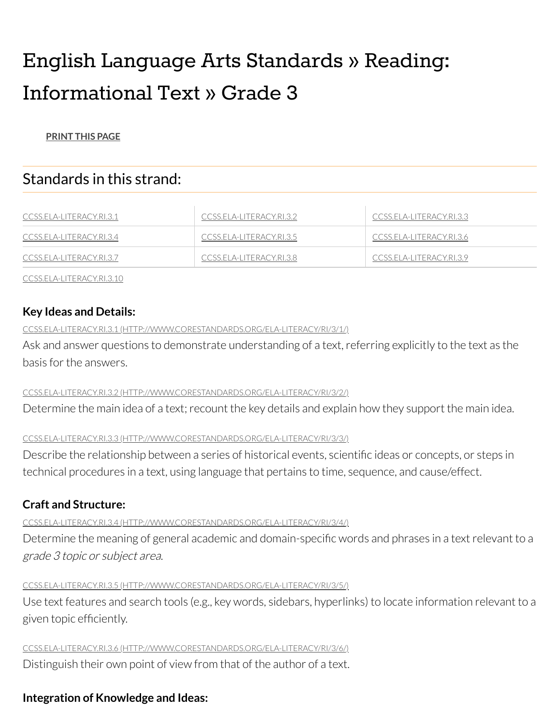# English Language Arts Standards » Reading: Informational Text » Grade 3

## **[PRINT](javascript: window.print();) THIS PAGE**

# Standards in this strand:

| <u>CCSS.ELA-LITERACY.RI.3.1</u> | CCSS.ELA-LITERACY.RI.3.2 | CCSS.ELA-LITERACY.RI.3.3 |
|---------------------------------|--------------------------|--------------------------|
| CCSS.ELA-LITERACY.RI.3.4        | CCSS.ELA-LITERACY.RI.3.5 | CCSS.ELA-LITERACY.RI.3.6 |
| CCSS.ELA-LITERACY.RI.3.7        | CCSS.ELA-LITERACY.RI.3.8 | CCSS.ELA-LITERACY.RI.3.9 |

[CCSS.ELA-LITERACY.RI.3.10](#page-5-3)

# **Key Ideas and Details:**

#### <span id="page-4-0"></span>CCSS.ELA-LITERACY.RI.3.1 [\(HTTP://WWW.CORESTANDARDS.ORG/ELA-LITERACY/RI/3/1/\)](http://www.corestandards.org/ELA-Literacy/RI/3/1/)

Ask and answer questions to demonstrate understanding of a text, referring explicitly to the text as the basis forthe answers.

#### <span id="page-4-1"></span>CCSS.ELA-LITERACY.RI.3.2 [\(HTTP://WWW.CORESTANDARDS.ORG/ELA-LITERACY/RI/3/2/\)](http://www.corestandards.org/ELA-Literacy/RI/3/2/)

Determine the main idea of a text; recount the key details and explain how they support the main idea.

#### <span id="page-4-2"></span>CCSS.ELA-LITERACY.RI.3.3 [\(HTTP://WWW.CORESTANDARDS.ORG/ELA-LITERACY/RI/3/3/\)](http://www.corestandards.org/ELA-Literacy/RI/3/3/)

Describe the relationship between a series of historical events, scientific ideas or concepts, or steps in technical procedures in a text, using language that pertains to time, sequence, and cause/effect.

# **Craft and Structure:**

# <span id="page-4-3"></span>CCSS.ELA-LITERACY.RI.3.4 [\(HTTP://WWW.CORESTANDARDS.ORG/ELA-LITERACY/RI/3/4/\)](http://www.corestandards.org/ELA-Literacy/RI/3/4/)

Determine the meaning of general academic and domain-specific words and phrases in a text relevant to a grade 3 topic or subject area.

# <span id="page-4-4"></span>CCSS.ELA-LITERACY.RI.3.5 [\(HTTP://WWW.CORESTANDARDS.ORG/ELA-LITERACY/RI/3/5/\)](http://www.corestandards.org/ELA-Literacy/RI/3/5/)

Use text features and search tools (e.g., key words, sidebars, hyperlinks) to locate information relevant to a given topic efficiently.

<span id="page-4-5"></span>CCSS.ELA-LITERACY.RI.3.6 [\(HTTP://WWW.CORESTANDARDS.ORG/ELA-LITERACY/RI/3/6/\)](http://www.corestandards.org/ELA-Literacy/RI/3/6/)

Distinguish their own point of view from that of the author of a text.

# **Integration of Knowledge and Ideas:**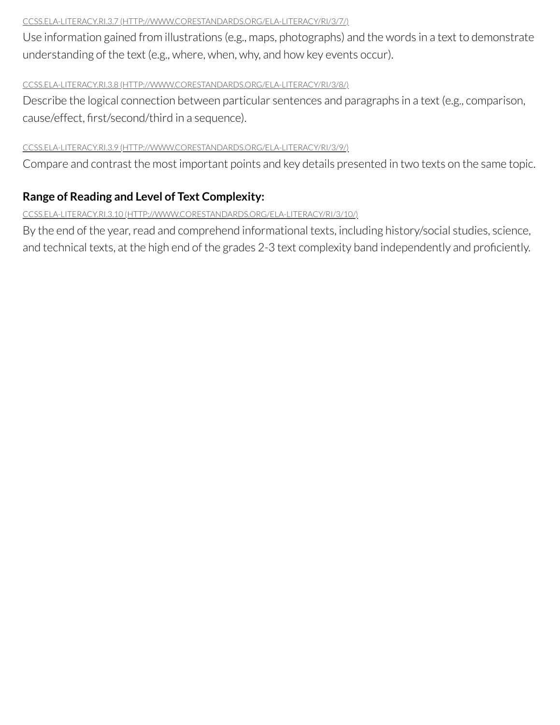#### <span id="page-5-0"></span>CCSS.ELA-LITERACY.RI.3.7 [\(HTTP://WWW.CORESTANDARDS.ORG/ELA-LITERACY/RI/3/7/\)](http://www.corestandards.org/ELA-Literacy/RI/3/7/)

Use information gained from illustrations (e.g., maps, photographs) and the words in a text to demonstrate understanding of the text (e.g., where, when, why, and how key events occur).

#### <span id="page-5-1"></span>CCSS.ELA-LITERACY.RI.3.8 [\(HTTP://WWW.CORESTANDARDS.ORG/ELA-LITERACY/RI/3/8/\)](http://www.corestandards.org/ELA-Literacy/RI/3/8/)

Describe the logical connection between particular sentences and paragraphs in a text (e.g., comparison, cause/effect, first/second/third in a sequence).

#### <span id="page-5-2"></span>CCSS.ELA-LITERACY.RI.3.9 [\(HTTP://WWW.CORESTANDARDS.ORG/ELA-LITERACY/RI/3/9/\)](http://www.corestandards.org/ELA-Literacy/RI/3/9/)

Compare and contrast the most important points and key details presented in two texts on the same topic.

# **Range of Reading and Level of Text Complexity:**

#### <span id="page-5-3"></span>CCSS.ELA-LITERACY.RI.3.10 [\(HTTP://WWW.CORESTANDARDS.ORG/ELA-LITERACY/RI/3/10/\)](http://www.corestandards.org/ELA-Literacy/RI/3/10/)

By the end of the year, read and comprehend informational texts, including history/social studies, science, and technical texts, at the high end of the grades 2-3 text complexity band independently and proficiently.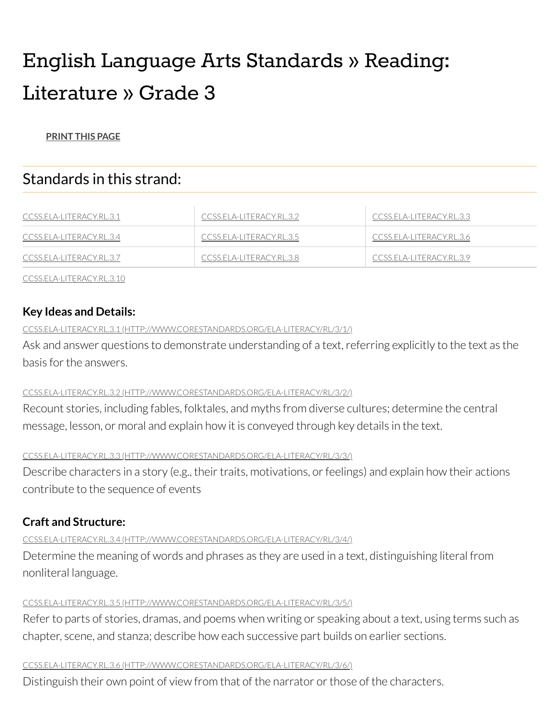# English Language Arts Standards » Reading: Literature » Grade 3

#### **[PRINT](javascript: window.print();) THIS PAGE**

# Standards in this strand:

| <u>CCSS.ELA-LITERACY.RL.3.1</u> | CCSS.ELA-LITERACY.RL.3.2   | CCSS.ELA-LITERACY.RL.3.3 |
|---------------------------------|----------------------------|--------------------------|
| <u>CCSS.ELA-LITERACY.RL.3.4</u> | CCSS.ELA-LITERACY.RL.3.5   | CCSS.ELA-LITERACY.RL.3.6 |
| CCSS.ELA-LITERACY.RL.3.7        | - CCSS.ELA-LITERACY.RL.3.8 | CCSS.ELA-LITERACY.RL.3.9 |

[CCSS.ELA-LITERACY.RL.3.10](#page-7-3)

# **Key Ideas and Details:**

#### <span id="page-6-0"></span>CCSS.ELA-LITERACY.RL.3.1 [\(HTTP://WWW.CORESTANDARDS.ORG/ELA-LITERACY/RL/3/1/\)](http://www.corestandards.org/ELA-Literacy/RL/3/1/)

Ask and answer questions to demonstrate understanding of a text, referring explicitly to the text as the basis forthe answers.

#### <span id="page-6-1"></span>CCSS.ELA-LITERACY.RL.3.2 [\(HTTP://WWW.CORESTANDARDS.ORG/ELA-LITERACY/RL/3/2/\)](http://www.corestandards.org/ELA-Literacy/RL/3/2/)

Recount stories, including fables, folktales, and myths from diverse cultures; determine the central message, lesson, or moral and explain how it is conveyed through key details in the text.

#### <span id="page-6-2"></span>CCSS.ELA-LITERACY.RL.3.3 [\(HTTP://WWW.CORESTANDARDS.ORG/ELA-LITERACY/RL/3/3/\)](http://www.corestandards.org/ELA-Literacy/RL/3/3/)

Describe characters in a story (e.g., their traits, motivations, or feelings) and explain how their actions contribute to the sequence of events

# **Craft and Structure:**

<span id="page-6-3"></span>CCSS.ELA-LITERACY.RL.3.4 [\(HTTP://WWW.CORESTANDARDS.ORG/ELA-LITERACY/RL/3/4/\)](http://www.corestandards.org/ELA-Literacy/RL/3/4/)

Determine the meaning of words and phrases as they are used in a text, distinguishing literal from nonliteral language.

# <span id="page-6-4"></span>CCSS.ELA-LITERACY.RL.3.5 [\(HTTP://WWW.CORESTANDARDS.ORG/ELA-LITERACY/RL/3/5/\)](http://www.corestandards.org/ELA-Literacy/RL/3/5/)

Refer to parts of stories, dramas, and poems when writing or speaking about a text, using terms such as chapter, scene, and stanza; describe how each successive part builds on earlier sections.

# <span id="page-6-5"></span>CCSS.ELA-LITERACY.RL.3.6 [\(HTTP://WWW.CORESTANDARDS.ORG/ELA-LITERACY/RL/3/6/\)](http://www.corestandards.org/ELA-Literacy/RL/3/6/)

Distinguish their own point of view from that of the narrator or those of the characters.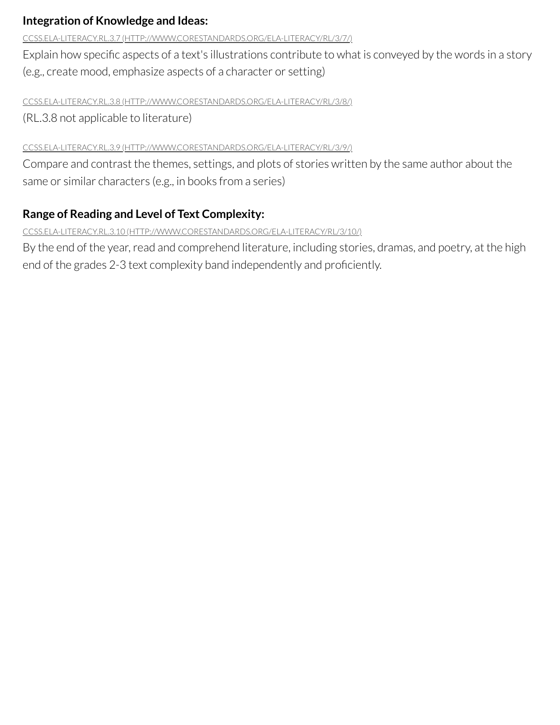# **Integration of Knowledge and Ideas:**

<span id="page-7-0"></span>CCSS.ELA-LITERACY.RL.3.7 [\(HTTP://WWW.CORESTANDARDS.ORG/ELA-LITERACY/RL/3/7/\)](http://www.corestandards.org/ELA-Literacy/RL/3/7/)

Explain how specific aspects of a text's illustrations contribute to what is conveyed by the words in a story (e.g., create mood, emphasize aspects of a character or setting)

## <span id="page-7-1"></span>CCSS.ELA-LITERACY.RL.3.8 [\(HTTP://WWW.CORESTANDARDS.ORG/ELA-LITERACY/RL/3/8/\)](http://www.corestandards.org/ELA-Literacy/RL/3/8/)

(RL.3.8 not applicable to literature)

# <span id="page-7-2"></span>CCSS.ELA-LITERACY.RL.3.9 [\(HTTP://WWW.CORESTANDARDS.ORG/ELA-LITERACY/RL/3/9/\)](http://www.corestandards.org/ELA-Literacy/RL/3/9/)

Compare and contrast the themes, settings, and plots of stories written by the same author about the same or similar characters (e.g., in books from a series)

# **Range of Reading and Level of Text Complexity:**

<span id="page-7-3"></span>CCSS.ELA-LITERACY.RL.3.10 [\(HTTP://WWW.CORESTANDARDS.ORG/ELA-LITERACY/RL/3/10/\)](http://www.corestandards.org/ELA-Literacy/RL/3/10/)

By the end of the year, read and comprehend literature, including stories, dramas, and poetry, at the high end of the grades 2-3 text complexity band independently and proficiently.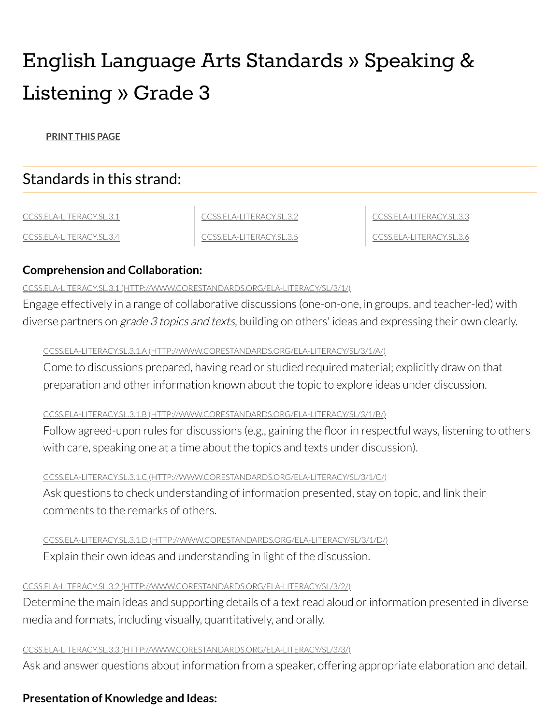# English Language Arts Standards » Speaking & Listening » Grade 3

**[PRINT](javascript: window.print();) THIS PAGE**

# Standards in this strand:

| CCSS ELA-LITERACY SL.3.1        | SS ELA-LITERACY SL 3.2. | OSS ELA-LITERACY SL 3.3 I |
|---------------------------------|-------------------------|---------------------------|
| - CCSS.ELA-L<br>literacy.sl.3.4 | 5.5.ELA-LITERACY.SL.3.5 | sseemileracyses as        |

# **Comprehension and Collaboration:**

## <span id="page-8-0"></span>CCSS.ELA-LITERACY.SL.3.1 [\(HTTP://WWW.CORESTANDARDS.ORG/ELA-LITERACY/SL/3/1/\)](http://www.corestandards.org/ELA-Literacy/SL/3/1/)

Engage effectively in a range of collaborative discussions (one-on-one, in groups, and teacher-led) with diverse partners on *grade 3 topics and texts*, building on others' ideas and expressing their own clearly.

# CCSS.ELA-LITERACY.SL.3.1.A [\(HTTP://WWW.CORESTANDARDS.ORG/ELA-LITERACY/SL/3/1/A/\)](http://www.corestandards.org/ELA-Literacy/SL/3/1/a/)

Come to discussions prepared, having read or studied required material; explicitly draw on that preparation and other information known about the topic to explore ideas under discussion.

## CCSS.ELA-LITERACY.SL.3.1.B [\(HTTP://WWW.CORESTANDARDS.ORG/ELA-LITERACY/SL/3/1/B/\)](http://www.corestandards.org/ELA-Literacy/SL/3/1/b/)

Follow agreed-upon rules for discussions (e.g., gaining the floor in respectful ways, listening to others with care, speaking one at a time about the topics and texts under discussion).

## CCSS.ELA-LITERACY.SL.3.1.C [\(HTTP://WWW.CORESTANDARDS.ORG/ELA-LITERACY/SL/3/1/C/\)](http://www.corestandards.org/ELA-Literacy/SL/3/1/c/)

Ask questions to check understanding of information presented, stay on topic, and link their comments to the remarks of others.

## CCSS.ELA-LITERACY.SL.3.1.D [\(HTTP://WWW.CORESTANDARDS.ORG/ELA-LITERACY/SL/3/1/D/\)](http://www.corestandards.org/ELA-Literacy/SL/3/1/d/)

Explain their own ideas and understanding in light of the discussion.

## <span id="page-8-1"></span>CCSS.ELA-LITERACY.SL.3.2 [\(HTTP://WWW.CORESTANDARDS.ORG/ELA-LITERACY/SL/3/2/\)](http://www.corestandards.org/ELA-Literacy/SL/3/2/)

Determine the main ideas and supporting details of a text read aloud or information presented in diverse media and formats, including visually, quantitatively, and orally.

## <span id="page-8-2"></span>CCSS.ELA-LITERACY.SL.3.3 [\(HTTP://WWW.CORESTANDARDS.ORG/ELA-LITERACY/SL/3/3/\)](http://www.corestandards.org/ELA-Literacy/SL/3/3/)

Ask and answer questions about information from a speaker, offering appropriate elaboration and detail.

# **Presentation of Knowledge and Ideas:**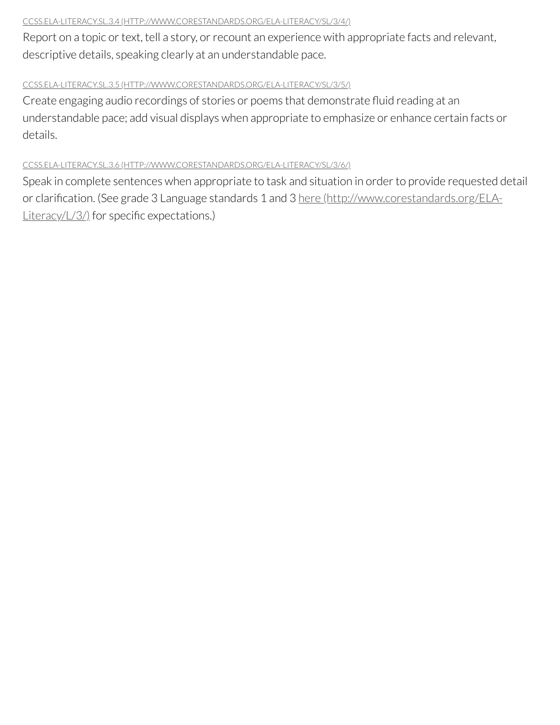#### <span id="page-9-0"></span>CCSS.ELA-LITERACY.SL.3.4 [\(HTTP://WWW.CORESTANDARDS.ORG/ELA-LITERACY/SL/3/4/\)](http://www.corestandards.org/ELA-Literacy/SL/3/4/)

Report on a topic or text, tell a story, or recount an experience with appropriate facts and relevant, descriptive details, speaking clearly at an understandable pace.

#### <span id="page-9-1"></span>CCSS.ELA-LITERACY.SL.3.5 [\(HTTP://WWW.CORESTANDARDS.ORG/ELA-LITERACY/SL/3/5/\)](http://www.corestandards.org/ELA-Literacy/SL/3/5/)

Create engaging audio recordings of stories or poems that demonstrate fluid reading at an understandable pace; add visual displays when appropriate to emphasize or enhance certain facts or details.

#### <span id="page-9-2"></span>CCSS.ELA-LITERACY.SL.3.6 [\(HTTP://WWW.CORESTANDARDS.ORG/ELA-LITERACY/SL/3/6/\)](http://www.corestandards.org/ELA-Literacy/SL/3/6/)

Speak in complete sentences when appropriate to task and situation in order to provide requested detail or clarification. (See grade 3 Language standards 1 and 3 here [\(http://www.corestandards.org/ELA-](http://www.corestandards.org/ELA-Literacy/L/3/)Literacy/L/3/) for specific expectations.)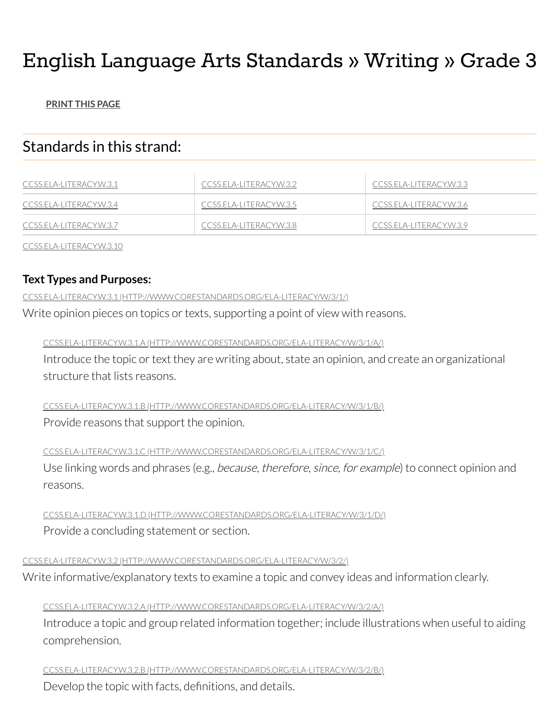# English Language Arts Standards » Writing » Grade 3

## **[PRINT](javascript: window.print();) THIS PAGE**

# Standards in this strand:

| CCSS.ELA-LITERACY.W.3.1 | CCSS.ELA-LITERACY.W.3.2 | CCSS.ELA-LITERACY.W.3.3 |
|-------------------------|-------------------------|-------------------------|
| CCSS.ELA-LITERACY.W.3.4 | CCSS.ELA-LITERACY.W.3.5 | CCSS.ELA-LITERACY.W.3.6 |
| CCSS.ELA-LITERACY.W.3.7 | CCSS.ELA-LITERACY.W.3.8 | CCSS.ELA-LITERACY.W.3.9 |

[CCSS.ELA-LITERACY.W.3.10](#page-12-2)

# **Text Types and Purposes:**

<span id="page-10-0"></span>CCSS.ELA-LITERACY.W.3.1 [\(HTTP://WWW.CORESTANDARDS.ORG/ELA-LITERACY/W/3/1/\)](http://www.corestandards.org/ELA-Literacy/W/3/1/)

Write opinion pieces on topics or texts, supporting a point of view with reasons.

CCSS.ELA-LITERACY.W.3.1.A [\(HTTP://WWW.CORESTANDARDS.ORG/ELA-LITERACY/W/3/1/A/\)](http://www.corestandards.org/ELA-Literacy/W/3/1/a/)

Introduce the topic or text they are writing about, state an opinion, and create an organizational structure that lists reasons.

CCSS.ELA-LITERACY.W.3.1.B [\(HTTP://WWW.CORESTANDARDS.ORG/ELA-LITERACY/W/3/1/B/\)](http://www.corestandards.org/ELA-Literacy/W/3/1/b/) Provide reasons that support the opinion.

CCSS.ELA-LITERACY.W.3.1.C [\(HTTP://WWW.CORESTANDARDS.ORG/ELA-LITERACY/W/3/1/C/\)](http://www.corestandards.org/ELA-Literacy/W/3/1/c/)

Use linking words and phrases (e.g., because, therefore, since, for example) to connect opinion and reasons.

CCSS.ELA-LITERACY.W.3.1.D [\(HTTP://WWW.CORESTANDARDS.ORG/ELA-LITERACY/W/3/1/D/\)](http://www.corestandards.org/ELA-Literacy/W/3/1/d/) Provide a concluding statement or section.

<span id="page-10-1"></span>CCSS.ELA-LITERACY.W.3.2 [\(HTTP://WWW.CORESTANDARDS.ORG/ELA-LITERACY/W/3/2/\)](http://www.corestandards.org/ELA-Literacy/W/3/2/)

Write informative/explanatory texts to examine a topic and convey ideas and information clearly.

## CCSS.ELA-LITERACY.W.3.2.A [\(HTTP://WWW.CORESTANDARDS.ORG/ELA-LITERACY/W/3/2/A/\)](http://www.corestandards.org/ELA-Literacy/W/3/2/a/)

Introduce a topic and group related information together; include illustrations when useful to aiding comprehension.

CCSS.ELA-LITERACY.W.3.2.B [\(HTTP://WWW.CORESTANDARDS.ORG/ELA-LITERACY/W/3/2/B/\)](http://www.corestandards.org/ELA-Literacy/W/3/2/b/)

Develop the topic with facts, definitions, and details.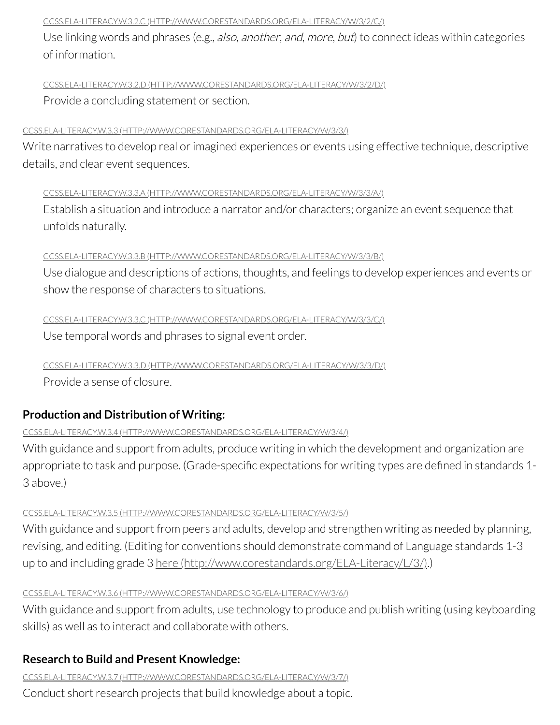#### CCSS.ELA-LITERACY.W.3.2.C [\(HTTP://WWW.CORESTANDARDS.ORG/ELA-LITERACY/W/3/2/C/\)](http://www.corestandards.org/ELA-Literacy/W/3/2/c/)

Use linking words and phrases (e.g., also, another, and, more, but) to connect ideas within categories of information.

CCSS.ELA-LITERACY.W.3.2.D [\(HTTP://WWW.CORESTANDARDS.ORG/ELA-LITERACY/W/3/2/D/\)](http://www.corestandards.org/ELA-Literacy/W/3/2/d/) Provide a concluding statement or section.

#### <span id="page-11-0"></span>CCSS.ELA-LITERACY.W.3.3 [\(HTTP://WWW.CORESTANDARDS.ORG/ELA-LITERACY/W/3/3/\)](http://www.corestandards.org/ELA-Literacy/W/3/3/)

Write narratives to develop real or imagined experiences or events using effective technique, descriptive details, and clear event sequences.

#### CCSS.ELA-LITERACY.W.3.3.A [\(HTTP://WWW.CORESTANDARDS.ORG/ELA-LITERACY/W/3/3/A/\)](http://www.corestandards.org/ELA-Literacy/W/3/3/a/)

Establish a situation and introduce a narrator and/or characters; organize an event sequence that unfolds naturally.

#### CCSS.ELA-LITERACY.W.3.3.B [\(HTTP://WWW.CORESTANDARDS.ORG/ELA-LITERACY/W/3/3/B/\)](http://www.corestandards.org/ELA-Literacy/W/3/3/b/)

Use dialogue and descriptions of actions, thoughts, and feelings to develop experiences and events or show the response of characters to situations.

CCSS.ELA-LITERACY.W.3.3.C [\(HTTP://WWW.CORESTANDARDS.ORG/ELA-LITERACY/W/3/3/C/\)](http://www.corestandards.org/ELA-Literacy/W/3/3/c/)

Use temporal words and phrases to signal event order.

# CCSS.ELA-LITERACY.W.3.3.D [\(HTTP://WWW.CORESTANDARDS.ORG/ELA-LITERACY/W/3/3/D/\)](http://www.corestandards.org/ELA-Literacy/W/3/3/d/)

Provide a sense of closure.

# **Production and Distribution of Writing:**

#### <span id="page-11-1"></span>CCSS.ELA-LITERACY.W.3.4 [\(HTTP://WWW.CORESTANDARDS.ORG/ELA-LITERACY/W/3/4/\)](http://www.corestandards.org/ELA-Literacy/W/3/4/)

With guidance and support from adults, produce writing in which the development and organization are appropriate to task and purpose. (Grade-specific expectations for writing types are defined in standards 1- 3 above.)

#### <span id="page-11-2"></span>CCSS.ELA-LITERACY.W.3.5 [\(HTTP://WWW.CORESTANDARDS.ORG/ELA-LITERACY/W/3/5/\)](http://www.corestandards.org/ELA-Literacy/W/3/5/)

With guidance and support from peers and adults, develop and strengthen writing as needed by planning, revising, and editing. (Editing for conventions should demonstrate command of Language standards 1-3 up to and including grade 3 here [\(http://www.corestandards.org/ELA-Literacy/L/3/\).](http://www.corestandards.org/ELA-Literacy/L/3/)

#### <span id="page-11-3"></span>CCSS.ELA-LITERACY.W.3.6 [\(HTTP://WWW.CORESTANDARDS.ORG/ELA-LITERACY/W/3/6/\)](http://www.corestandards.org/ELA-Literacy/W/3/6/)

With guidance and support from adults, use technology to produce and publish writing (using keyboarding skills) as well as to interact and collaborate with others.

# **Research to Build and Present Knowledge:**

<span id="page-11-4"></span>CCSS.ELA-LITERACY.W.3.7 [\(HTTP://WWW.CORESTANDARDS.ORG/ELA-LITERACY/W/3/7/\)](http://www.corestandards.org/ELA-Literacy/W/3/7/)

Conduct short research projects that build knowledge about a topic.